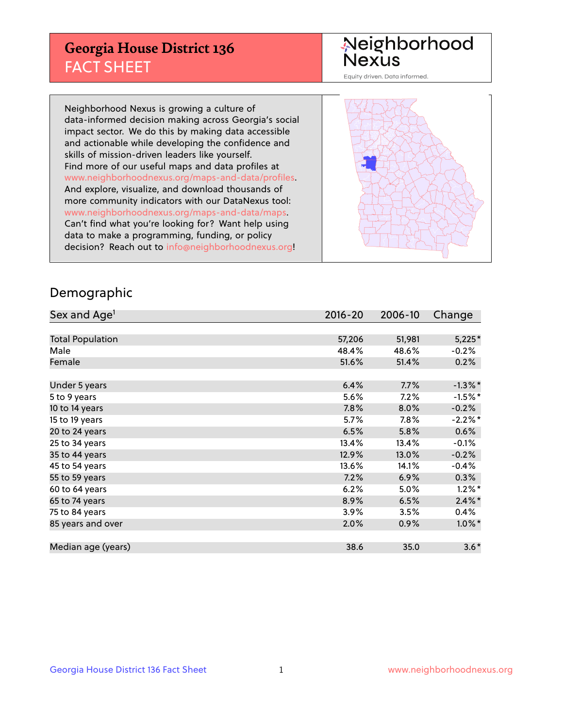## **Georgia House District 136** FACT SHEET

# Neighborhood<br>Nexus

Equity driven. Data informed.

Neighborhood Nexus is growing a culture of data-informed decision making across Georgia's social impact sector. We do this by making data accessible and actionable while developing the confidence and skills of mission-driven leaders like yourself. Find more of our useful maps and data profiles at www.neighborhoodnexus.org/maps-and-data/profiles. And explore, visualize, and download thousands of more community indicators with our DataNexus tool: www.neighborhoodnexus.org/maps-and-data/maps. Can't find what you're looking for? Want help using data to make a programming, funding, or policy decision? Reach out to [info@neighborhoodnexus.org!](mailto:info@neighborhoodnexus.org)



### Demographic

| Sex and Age <sup>1</sup> | $2016 - 20$ | 2006-10 | Change     |
|--------------------------|-------------|---------|------------|
|                          |             |         |            |
| <b>Total Population</b>  | 57,206      | 51,981  | $5,225*$   |
| Male                     | 48.4%       | 48.6%   | $-0.2%$    |
| Female                   | 51.6%       | 51.4%   | 0.2%       |
|                          |             |         |            |
| Under 5 years            | 6.4%        | 7.7%    | $-1.3\%$ * |
| 5 to 9 years             | 5.6%        | 7.2%    | $-1.5%$ *  |
| 10 to 14 years           | 7.8%        | 8.0%    | $-0.2%$    |
| 15 to 19 years           | 5.7%        | 7.8%    | $-2.2%$ *  |
| 20 to 24 years           | 6.5%        | 5.8%    | 0.6%       |
| 25 to 34 years           | 13.4%       | 13.4%   | $-0.1%$    |
| 35 to 44 years           | 12.9%       | 13.0%   | $-0.2%$    |
| 45 to 54 years           | 13.6%       | 14.1%   | $-0.4%$    |
| 55 to 59 years           | 7.2%        | 6.9%    | 0.3%       |
| 60 to 64 years           | 6.2%        | 5.0%    | $1.2\%$ *  |
| 65 to 74 years           | 8.9%        | 6.5%    | $2.4\%$ *  |
| 75 to 84 years           | 3.9%        | 3.5%    | $0.4\%$    |
| 85 years and over        | 2.0%        | 0.9%    | $1.0\%$ *  |
|                          |             |         |            |
| Median age (years)       | 38.6        | 35.0    | $3.6*$     |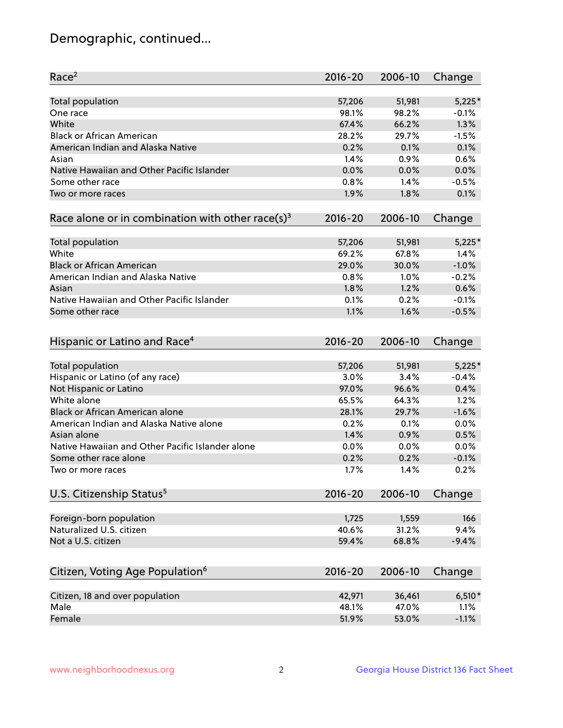## Demographic, continued...

| Race <sup>2</sup>                                            | 2016-20     | 2006-10 | Change   |
|--------------------------------------------------------------|-------------|---------|----------|
| <b>Total population</b>                                      | 57,206      | 51,981  | $5,225*$ |
| One race                                                     | 98.1%       | 98.2%   | $-0.1%$  |
| White                                                        | 67.4%       | 66.2%   | 1.3%     |
| <b>Black or African American</b>                             | 28.2%       | 29.7%   | $-1.5%$  |
| American Indian and Alaska Native                            | 0.2%        | 0.1%    | 0.1%     |
| Asian                                                        | 1.4%        | 0.9%    | 0.6%     |
| Native Hawaiian and Other Pacific Islander                   | 0.0%        | 0.0%    | 0.0%     |
| Some other race                                              | 0.8%        | 1.4%    | $-0.5%$  |
| Two or more races                                            | 1.9%        | 1.8%    | 0.1%     |
| Race alone or in combination with other race(s) <sup>3</sup> | $2016 - 20$ | 2006-10 | Change   |
| <b>Total population</b>                                      | 57,206      | 51,981  | $5,225*$ |
| White                                                        | 69.2%       | 67.8%   | 1.4%     |
| <b>Black or African American</b>                             | 29.0%       | 30.0%   | $-1.0%$  |
| American Indian and Alaska Native                            | 0.8%        | 1.0%    | $-0.2%$  |
| Asian                                                        | 1.8%        | 1.2%    | 0.6%     |
| Native Hawaiian and Other Pacific Islander                   | 0.1%        | 0.2%    | $-0.1%$  |
| Some other race                                              | 1.1%        | 1.6%    | $-0.5%$  |
| Hispanic or Latino and Race <sup>4</sup>                     | $2016 - 20$ | 2006-10 | Change   |
| <b>Total population</b>                                      | 57,206      | 51,981  | $5,225*$ |
| Hispanic or Latino (of any race)                             | 3.0%        | 3.4%    | $-0.4%$  |
| Not Hispanic or Latino                                       | 97.0%       | 96.6%   | 0.4%     |
| White alone                                                  | 65.5%       | 64.3%   | 1.2%     |
| <b>Black or African American alone</b>                       | 28.1%       | 29.7%   | $-1.6%$  |
| American Indian and Alaska Native alone                      | 0.2%        | 0.1%    | 0.0%     |
| Asian alone                                                  | 1.4%        | 0.9%    | 0.5%     |
| Native Hawaiian and Other Pacific Islander alone             | 0.0%        | 0.0%    | 0.0%     |
| Some other race alone                                        | 0.2%        | 0.2%    | $-0.1%$  |
| Two or more races                                            | 1.7%        | 1.4%    | 0.2%     |
| U.S. Citizenship Status <sup>5</sup>                         | $2016 - 20$ | 2006-10 | Change   |
| Foreign-born population                                      | 1,725       | 1,559   | 166      |
| Naturalized U.S. citizen                                     | 40.6%       | 31.2%   | 9.4%     |
| Not a U.S. citizen                                           | 59.4%       | 68.8%   | $-9.4%$  |
|                                                              |             |         |          |
| Citizen, Voting Age Population <sup>6</sup>                  | $2016 - 20$ | 2006-10 | Change   |
| Citizen, 18 and over population                              | 42,971      | 36,461  | $6,510*$ |
| Male                                                         | 48.1%       | 47.0%   | 1.1%     |
| Female                                                       | 51.9%       | 53.0%   | $-1.1%$  |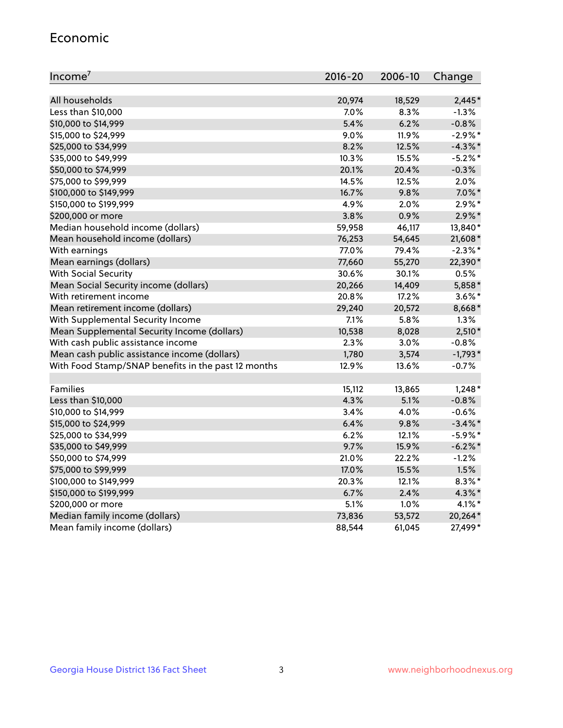#### Economic

| Income <sup>7</sup>                                 | 2016-20 | 2006-10 | Change     |
|-----------------------------------------------------|---------|---------|------------|
|                                                     |         |         |            |
| All households                                      | 20,974  | 18,529  | $2,445*$   |
| Less than \$10,000                                  | 7.0%    | 8.3%    | $-1.3%$    |
| \$10,000 to \$14,999                                | 5.4%    | 6.2%    | $-0.8%$    |
| \$15,000 to \$24,999                                | 9.0%    | 11.9%   | $-2.9\%$ * |
| \$25,000 to \$34,999                                | 8.2%    | 12.5%   | $-4.3\%$ * |
| \$35,000 to \$49,999                                | 10.3%   | 15.5%   | $-5.2%$ *  |
| \$50,000 to \$74,999                                | 20.1%   | 20.4%   | $-0.3%$    |
| \$75,000 to \$99,999                                | 14.5%   | 12.5%   | 2.0%       |
| \$100,000 to \$149,999                              | 16.7%   | 9.8%    | $7.0\%$ *  |
| \$150,000 to \$199,999                              | 4.9%    | 2.0%    | $2.9\%*$   |
| \$200,000 or more                                   | 3.8%    | 0.9%    | $2.9\%$ *  |
| Median household income (dollars)                   | 59,958  | 46,117  | 13,840*    |
| Mean household income (dollars)                     | 76,253  | 54,645  | 21,608*    |
| With earnings                                       | 77.0%   | 79.4%   | $-2.3\%$ * |
| Mean earnings (dollars)                             | 77,660  | 55,270  | 22,390*    |
| <b>With Social Security</b>                         | 30.6%   | 30.1%   | 0.5%       |
| Mean Social Security income (dollars)               | 20,266  | 14,409  | 5,858*     |
| With retirement income                              | 20.8%   | 17.2%   | $3.6\%$ *  |
| Mean retirement income (dollars)                    | 29,240  | 20,572  | 8,668*     |
| With Supplemental Security Income                   | 7.1%    | $5.8\%$ | 1.3%       |
| Mean Supplemental Security Income (dollars)         | 10,538  | 8,028   | $2,510*$   |
| With cash public assistance income                  | 2.3%    | 3.0%    | $-0.8%$    |
| Mean cash public assistance income (dollars)        | 1,780   | 3,574   | $-1,793*$  |
| With Food Stamp/SNAP benefits in the past 12 months | 12.9%   | 13.6%   | $-0.7%$    |
|                                                     |         |         |            |
| Families                                            | 15,112  | 13,865  | $1,248*$   |
| Less than \$10,000                                  | 4.3%    | 5.1%    | $-0.8%$    |
| \$10,000 to \$14,999                                | 3.4%    | 4.0%    | $-0.6%$    |
| \$15,000 to \$24,999                                | 6.4%    | 9.8%    | $-3.4\%$ * |
| \$25,000 to \$34,999                                | 6.2%    | 12.1%   | $-5.9\%$ * |
| \$35,000 to \$49,999                                | 9.7%    | 15.9%   | $-6.2\%$ * |
| \$50,000 to \$74,999                                | 21.0%   | 22.2%   | $-1.2%$    |
| \$75,000 to \$99,999                                | 17.0%   | 15.5%   | 1.5%       |
| \$100,000 to \$149,999                              | 20.3%   | 12.1%   | $8.3\%$ *  |
| \$150,000 to \$199,999                              | 6.7%    | 2.4%    | 4.3%*      |
| \$200,000 or more                                   | 5.1%    | 1.0%    | $4.1\%$ *  |
| Median family income (dollars)                      | 73,836  | 53,572  | 20,264*    |
| Mean family income (dollars)                        | 88,544  | 61,045  | 27,499*    |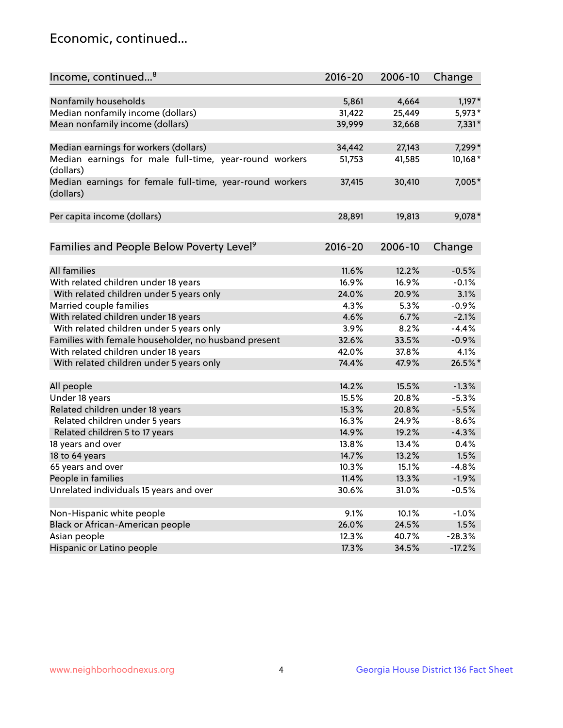## Economic, continued...

| Income, continued <sup>8</sup>                                        | $2016 - 20$ | 2006-10 | Change   |
|-----------------------------------------------------------------------|-------------|---------|----------|
|                                                                       |             |         |          |
| Nonfamily households                                                  | 5,861       | 4,664   | $1,197*$ |
| Median nonfamily income (dollars)                                     | 31,422      | 25,449  | 5,973*   |
| Mean nonfamily income (dollars)                                       | 39,999      | 32,668  | $7,331*$ |
| Median earnings for workers (dollars)                                 | 34,442      | 27,143  | 7,299*   |
| Median earnings for male full-time, year-round workers                | 51,753      | 41,585  | 10,168*  |
| (dollars)                                                             |             |         |          |
| Median earnings for female full-time, year-round workers<br>(dollars) | 37,415      | 30,410  | 7,005*   |
| Per capita income (dollars)                                           | 28,891      | 19,813  | 9,078*   |
|                                                                       |             |         |          |
| Families and People Below Poverty Level <sup>9</sup>                  | $2016 - 20$ | 2006-10 | Change   |
|                                                                       |             |         |          |
| <b>All families</b>                                                   | 11.6%       | 12.2%   | $-0.5%$  |
| With related children under 18 years                                  | 16.9%       | 16.9%   | $-0.1%$  |
| With related children under 5 years only                              | 24.0%       | 20.9%   | 3.1%     |
| Married couple families                                               | 4.3%        | 5.3%    | $-0.9%$  |
| With related children under 18 years                                  | 4.6%        | 6.7%    | $-2.1%$  |
| With related children under 5 years only                              | 3.9%        | 8.2%    | $-4.4%$  |
| Families with female householder, no husband present                  | 32.6%       | 33.5%   | $-0.9%$  |
| With related children under 18 years                                  | 42.0%       | 37.8%   | 4.1%     |
| With related children under 5 years only                              | 74.4%       | 47.9%   | 26.5%*   |
|                                                                       |             |         |          |
| All people                                                            | 14.2%       | 15.5%   | $-1.3%$  |
| Under 18 years                                                        | 15.5%       | 20.8%   | $-5.3%$  |
| Related children under 18 years                                       | 15.3%       | 20.8%   | $-5.5%$  |
| Related children under 5 years                                        | 16.3%       | 24.9%   | $-8.6%$  |
| Related children 5 to 17 years                                        | 14.9%       | 19.2%   | $-4.3%$  |
| 18 years and over                                                     | 13.8%       | 13.4%   | 0.4%     |
| 18 to 64 years                                                        | 14.7%       | 13.2%   | 1.5%     |
| 65 years and over                                                     | 10.3%       | 15.1%   | $-4.8%$  |
| People in families                                                    | 11.4%       | 13.3%   | $-1.9%$  |
| Unrelated individuals 15 years and over                               | 30.6%       | 31.0%   | $-0.5%$  |
|                                                                       |             |         |          |
| Non-Hispanic white people                                             | 9.1%        | 10.1%   | $-1.0%$  |
| Black or African-American people                                      | 26.0%       | 24.5%   | 1.5%     |
| Asian people                                                          | 12.3%       | 40.7%   | $-28.3%$ |
| Hispanic or Latino people                                             | 17.3%       | 34.5%   | $-17.2%$ |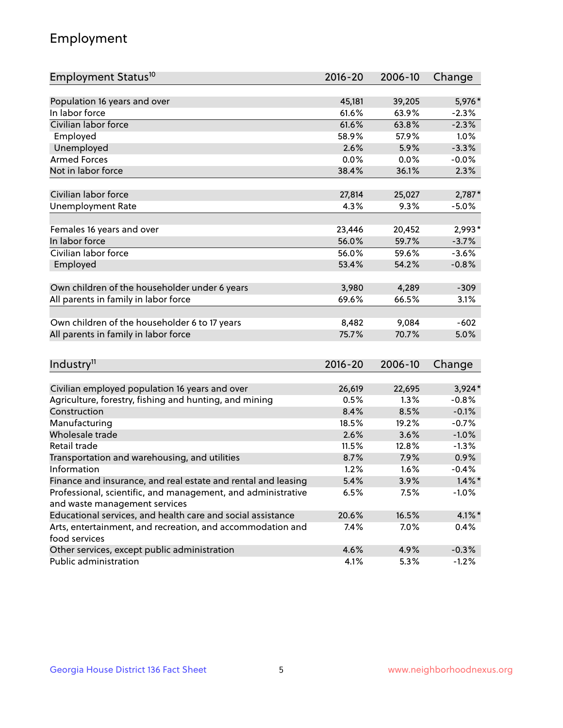## Employment

| Employment Status <sup>10</sup>                               | $2016 - 20$ | 2006-10 | Change    |
|---------------------------------------------------------------|-------------|---------|-----------|
|                                                               |             |         |           |
| Population 16 years and over                                  | 45,181      | 39,205  | 5,976*    |
| In labor force                                                | 61.6%       | 63.9%   | $-2.3%$   |
| Civilian labor force                                          | 61.6%       | 63.8%   | $-2.3%$   |
| Employed                                                      | 58.9%       | 57.9%   | 1.0%      |
| Unemployed                                                    | 2.6%        | 5.9%    | $-3.3%$   |
| <b>Armed Forces</b>                                           | 0.0%        | 0.0%    | $-0.0%$   |
| Not in labor force                                            | 38.4%       | 36.1%   | 2.3%      |
| Civilian labor force                                          | 27,814      | 25,027  | $2,787*$  |
| <b>Unemployment Rate</b>                                      | 4.3%        | 9.3%    | $-5.0\%$  |
|                                                               |             |         |           |
| Females 16 years and over                                     | 23,446      | 20,452  | 2,993*    |
| In labor force                                                | 56.0%       | 59.7%   | $-3.7%$   |
| Civilian labor force                                          | 56.0%       | 59.6%   | $-3.6%$   |
| Employed                                                      | 53.4%       | 54.2%   | $-0.8%$   |
|                                                               |             |         |           |
| Own children of the householder under 6 years                 | 3,980       | 4,289   | $-309$    |
| All parents in family in labor force                          | 69.6%       | 66.5%   | 3.1%      |
|                                                               |             |         |           |
| Own children of the householder 6 to 17 years                 | 8,482       | 9,084   | $-602$    |
| All parents in family in labor force                          | 75.7%       | 70.7%   | 5.0%      |
|                                                               |             |         |           |
| Industry <sup>11</sup>                                        | $2016 - 20$ | 2006-10 | Change    |
| Civilian employed population 16 years and over                | 26,619      | 22,695  | $3,924*$  |
| Agriculture, forestry, fishing and hunting, and mining        | 0.5%        | 1.3%    | $-0.8%$   |
| Construction                                                  | 8.4%        | 8.5%    | $-0.1%$   |
| Manufacturing                                                 | 18.5%       | 19.2%   | $-0.7%$   |
| Wholesale trade                                               | 2.6%        | 3.6%    | $-1.0%$   |
| Retail trade                                                  | 11.5%       | 12.8%   | $-1.3%$   |
| Transportation and warehousing, and utilities                 | 8.7%        | 7.9%    | 0.9%      |
| Information                                                   | 1.2%        | 1.6%    | $-0.4%$   |
| Finance and insurance, and real estate and rental and leasing | 5.4%        | 3.9%    | $1.4\%$ * |
| Professional, scientific, and management, and administrative  | 6.5%        | 7.5%    | $-1.0%$   |
| and waste management services                                 |             |         |           |
| Educational services, and health care and social assistance   | 20.6%       | 16.5%   | $4.1\%$ * |
| Arts, entertainment, and recreation, and accommodation and    | 7.4%        | 7.0%    | 0.4%      |
| food services                                                 |             |         |           |
| Other services, except public administration                  | 4.6%        | 4.9%    | $-0.3%$   |
| Public administration                                         | 4.1%        | 5.3%    | $-1.2%$   |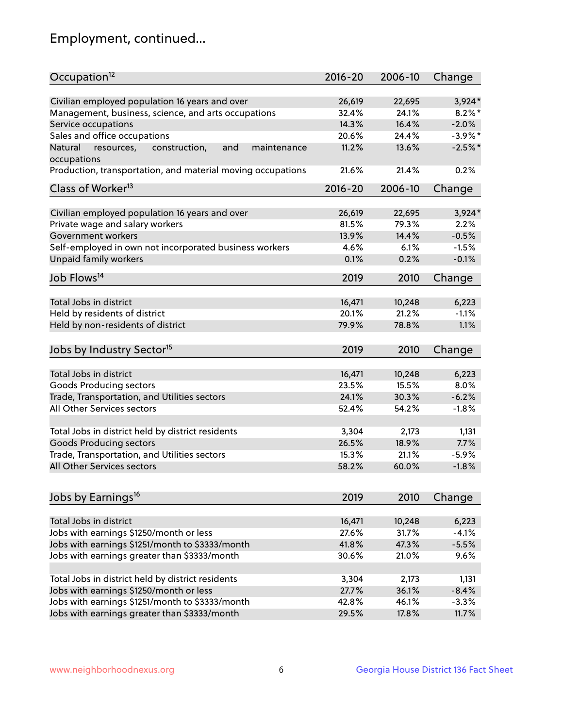## Employment, continued...

| Occupation <sup>12</sup>                                                    | $2016 - 20$ | 2006-10 | Change     |
|-----------------------------------------------------------------------------|-------------|---------|------------|
| Civilian employed population 16 years and over                              | 26,619      | 22,695  | $3,924*$   |
| Management, business, science, and arts occupations                         | 32.4%       | 24.1%   | $8.2\%$ *  |
| Service occupations                                                         | 14.3%       | 16.4%   | $-2.0%$    |
| Sales and office occupations                                                | 20.6%       | 24.4%   | $-3.9\%$ * |
|                                                                             | 11.2%       |         | $-2.5%$ *  |
| and<br>Natural<br>resources,<br>construction,<br>maintenance<br>occupations |             | 13.6%   |            |
| Production, transportation, and material moving occupations                 | 21.6%       | 21.4%   | 0.2%       |
| Class of Worker <sup>13</sup>                                               | $2016 - 20$ | 2006-10 | Change     |
|                                                                             |             |         |            |
| Civilian employed population 16 years and over                              | 26,619      | 22,695  | $3,924*$   |
| Private wage and salary workers                                             | 81.5%       | 79.3%   | 2.2%       |
| Government workers                                                          | 13.9%       | 14.4%   | $-0.5%$    |
| Self-employed in own not incorporated business workers                      | 4.6%        | 6.1%    | $-1.5%$    |
| Unpaid family workers                                                       | 0.1%        | 0.2%    | $-0.1%$    |
| Job Flows <sup>14</sup>                                                     | 2019        | 2010    | Change     |
|                                                                             |             |         |            |
| Total Jobs in district                                                      | 16,471      | 10,248  | 6,223      |
| Held by residents of district                                               | 20.1%       | 21.2%   | $-1.1%$    |
| Held by non-residents of district                                           | 79.9%       | 78.8%   | 1.1%       |
| Jobs by Industry Sector <sup>15</sup>                                       | 2019        | 2010    | Change     |
|                                                                             |             |         |            |
| Total Jobs in district                                                      | 16,471      | 10,248  | 6,223      |
| Goods Producing sectors                                                     | 23.5%       | 15.5%   | 8.0%       |
| Trade, Transportation, and Utilities sectors                                | 24.1%       | 30.3%   | $-6.2%$    |
| All Other Services sectors                                                  | 52.4%       | 54.2%   | $-1.8%$    |
|                                                                             |             |         |            |
| Total Jobs in district held by district residents                           | 3,304       | 2,173   | 1,131      |
| <b>Goods Producing sectors</b>                                              | 26.5%       | 18.9%   | 7.7%       |
| Trade, Transportation, and Utilities sectors                                | 15.3%       | 21.1%   | $-5.9%$    |
| All Other Services sectors                                                  | 58.2%       | 60.0%   | $-1.8%$    |
|                                                                             |             |         |            |
| Jobs by Earnings <sup>16</sup>                                              | 2019        | 2010    | Change     |
|                                                                             |             |         |            |
| Total Jobs in district                                                      | 16,471      | 10,248  | 6,223      |
| Jobs with earnings \$1250/month or less                                     | 27.6%       | 31.7%   | $-4.1%$    |
| Jobs with earnings \$1251/month to \$3333/month                             | 41.8%       | 47.3%   | $-5.5%$    |
| Jobs with earnings greater than \$3333/month                                | 30.6%       | 21.0%   | 9.6%       |
| Total Jobs in district held by district residents                           | 3,304       | 2,173   | 1,131      |
| Jobs with earnings \$1250/month or less                                     | 27.7%       | 36.1%   | $-8.4%$    |
| Jobs with earnings \$1251/month to \$3333/month                             | 42.8%       | 46.1%   | $-3.3%$    |
|                                                                             | 29.5%       | 17.8%   | 11.7%      |
| Jobs with earnings greater than \$3333/month                                |             |         |            |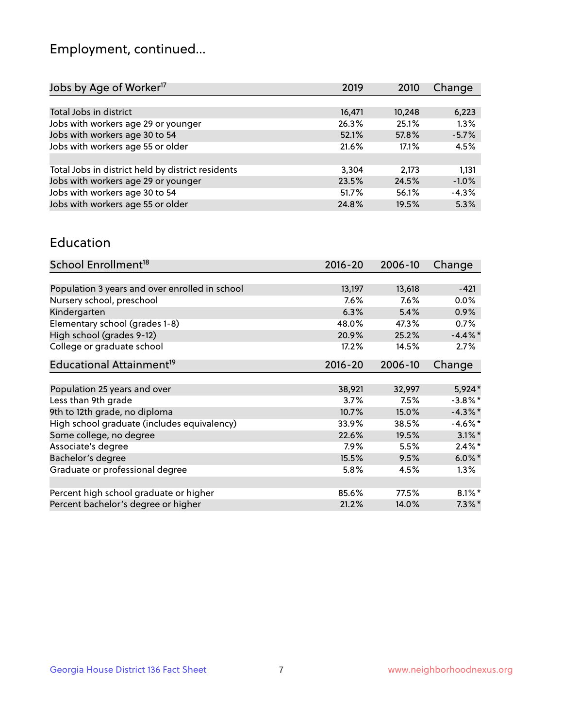## Employment, continued...

| 6,223   |
|---------|
| 1.3%    |
| $-5.7%$ |
| 4.5%    |
|         |
| 1,131   |
| $-1.0%$ |
| $-4.3%$ |
| 5.3%    |
|         |

#### Education

| School Enrollment <sup>18</sup>                | $2016 - 20$ | 2006-10 | Change     |
|------------------------------------------------|-------------|---------|------------|
|                                                |             |         |            |
| Population 3 years and over enrolled in school | 13,197      | 13,618  | $-421$     |
| Nursery school, preschool                      | 7.6%        | 7.6%    | $0.0\%$    |
| Kindergarten                                   | 6.3%        | 5.4%    | $0.9\%$    |
| Elementary school (grades 1-8)                 | 48.0%       | 47.3%   | $0.7\%$    |
| High school (grades 9-12)                      | 20.9%       | 25.2%   | $-4.4\%$   |
| College or graduate school                     | 17.2%       | 14.5%   | 2.7%       |
| Educational Attainment <sup>19</sup>           | $2016 - 20$ | 2006-10 | Change     |
|                                                |             |         |            |
| Population 25 years and over                   | 38,921      | 32,997  | $5,924*$   |
| Less than 9th grade                            | 3.7%        | 7.5%    | $-3.8\%$ * |
| 9th to 12th grade, no diploma                  | 10.7%       | 15.0%   | $-4.3\%$ * |
| High school graduate (includes equivalency)    | 33.9%       | 38.5%   | $-4.6\%$ * |
| Some college, no degree                        | 22.6%       | 19.5%   | $3.1\%$ *  |
| Associate's degree                             | 7.9%        | 5.5%    | $2.4\%$ *  |
| Bachelor's degree                              | 15.5%       | 9.5%    | $6.0\%$ *  |
| Graduate or professional degree                | 5.8%        | 4.5%    | $1.3\%$    |
|                                                |             |         |            |
| Percent high school graduate or higher         | 85.6%       | 77.5%   | $8.1\%$ *  |
| Percent bachelor's degree or higher            | 21.2%       | 14.0%   | $7.3\%$ *  |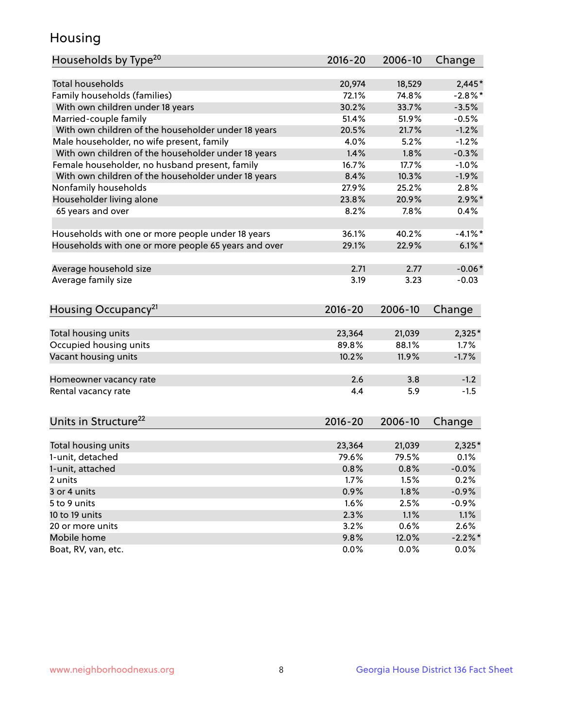## Housing

| Households by Type <sup>20</sup>                     | $2016 - 20$  | 2006-10      | Change          |
|------------------------------------------------------|--------------|--------------|-----------------|
|                                                      |              |              |                 |
| <b>Total households</b>                              | 20,974       | 18,529       | $2,445*$        |
| Family households (families)                         | 72.1%        | 74.8%        | $-2.8\%$ *      |
| With own children under 18 years                     | 30.2%        | 33.7%        | $-3.5%$         |
| Married-couple family                                | 51.4%        | 51.9%        | $-0.5%$         |
| With own children of the householder under 18 years  | 20.5%        | 21.7%        | $-1.2%$         |
| Male householder, no wife present, family            | 4.0%         | 5.2%         | $-1.2%$         |
| With own children of the householder under 18 years  | 1.4%         | 1.8%         | $-0.3%$         |
| Female householder, no husband present, family       | 16.7%        | 17.7%        | $-1.0%$         |
| With own children of the householder under 18 years  | 8.4%         | 10.3%        | $-1.9%$         |
| Nonfamily households                                 | 27.9%        | 25.2%        | 2.8%            |
| Householder living alone                             | 23.8%        | 20.9%        | $2.9\%$ *       |
| 65 years and over                                    | 8.2%         | 7.8%         | 0.4%            |
|                                                      |              |              |                 |
| Households with one or more people under 18 years    | 36.1%        | 40.2%        | $-4.1\%$ *      |
| Households with one or more people 65 years and over | 29.1%        | 22.9%        | $6.1\%$         |
| Average household size                               | 2.71         | 2.77         | $-0.06*$        |
| Average family size                                  | 3.19         | 3.23         | $-0.03$         |
|                                                      |              |              |                 |
| Housing Occupancy <sup>21</sup>                      | $2016 - 20$  | 2006-10      | Change          |
| Total housing units                                  | 23,364       | 21,039       | $2,325*$        |
| Occupied housing units                               | 89.8%        | 88.1%        | 1.7%            |
| Vacant housing units                                 | 10.2%        | 11.9%        | $-1.7%$         |
|                                                      |              |              |                 |
| Homeowner vacancy rate                               | 2.6          | 3.8          | $-1.2$          |
| Rental vacancy rate                                  | 4.4          | 5.9          | $-1.5$          |
|                                                      |              |              |                 |
| Units in Structure <sup>22</sup>                     | 2016-20      | 2006-10      | Change          |
| Total housing units                                  | 23,364       | 21,039       | $2,325*$        |
| 1-unit, detached                                     | 79.6%        | 79.5%        | 0.1%            |
| 1-unit, attached                                     |              |              |                 |
| 2 units                                              | 0.8%<br>1.7% | 0.8%<br>1.5% | $-0.0%$<br>0.2% |
| 3 or 4 units                                         |              | 1.8%         |                 |
| 5 to 9 units                                         | 0.9%         |              | $-0.9%$         |
|                                                      | 1.6%         | 2.5%         | $-0.9%$         |
| 10 to 19 units                                       | 2.3%         | 1.1%         | 1.1%            |
| 20 or more units                                     | 3.2%         | 0.6%         | 2.6%            |
| Mobile home                                          | 9.8%         | 12.0%        | $-2.2\%$ *      |
| Boat, RV, van, etc.                                  | 0.0%         | 0.0%         | $0.0\%$         |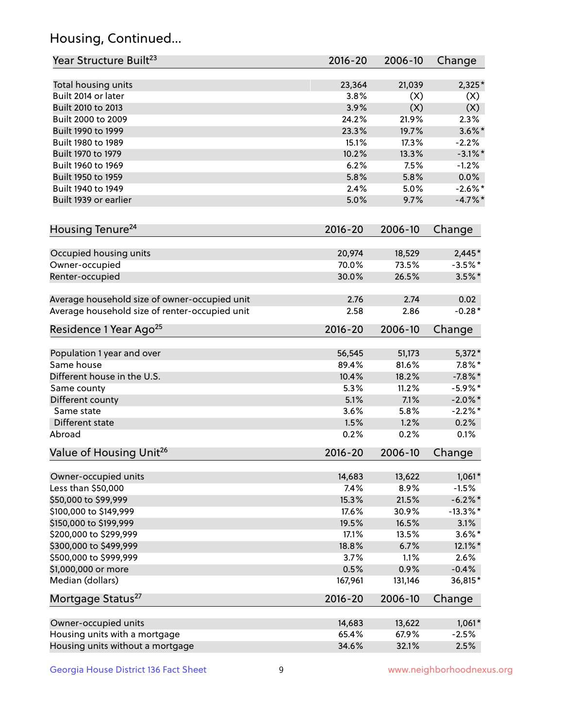## Housing, Continued...

| Year Structure Built <sup>23</sup>             | 2016-20     | 2006-10 | Change      |
|------------------------------------------------|-------------|---------|-------------|
| Total housing units                            | 23,364      | 21,039  | $2,325*$    |
| Built 2014 or later                            | 3.8%        | (X)     | (X)         |
| Built 2010 to 2013                             | 3.9%        | (X)     | (X)         |
| Built 2000 to 2009                             | 24.2%       | 21.9%   | 2.3%        |
| Built 1990 to 1999                             | 23.3%       | 19.7%   | $3.6\%$ *   |
| Built 1980 to 1989                             | 15.1%       | 17.3%   | $-2.2%$     |
| Built 1970 to 1979                             | 10.2%       | 13.3%   | $-3.1\%$ *  |
| Built 1960 to 1969                             | 6.2%        | 7.5%    | $-1.2%$     |
| Built 1950 to 1959                             | 5.8%        | 5.8%    | 0.0%        |
| Built 1940 to 1949                             | 2.4%        | 5.0%    | $-2.6\%$ *  |
| Built 1939 or earlier                          | 5.0%        | 9.7%    | $-4.7\%$ *  |
|                                                |             |         |             |
| Housing Tenure <sup>24</sup>                   | $2016 - 20$ | 2006-10 | Change      |
| Occupied housing units                         | 20,974      | 18,529  | $2,445*$    |
| Owner-occupied                                 | 70.0%       | 73.5%   | $-3.5%$ *   |
| Renter-occupied                                | 30.0%       | 26.5%   | $3.5\%$ *   |
| Average household size of owner-occupied unit  | 2.76        | 2.74    | 0.02        |
| Average household size of renter-occupied unit | 2.58        | 2.86    | $-0.28*$    |
| Residence 1 Year Ago <sup>25</sup>             | $2016 - 20$ | 2006-10 | Change      |
| Population 1 year and over                     | 56,545      | 51,173  | $5,372*$    |
| Same house                                     | 89.4%       | 81.6%   | $7.8\%$ *   |
| Different house in the U.S.                    | 10.4%       | 18.2%   | $-7.8\%$ *  |
| Same county                                    | 5.3%        | 11.2%   | $-5.9\%$ *  |
| Different county                               | 5.1%        | 7.1%    | $-2.0\%$ *  |
| Same state                                     | 3.6%        | 5.8%    | $-2.2%$ *   |
| Different state                                | 1.5%        | 1.2%    | 0.2%        |
| Abroad                                         | 0.2%        | 0.2%    | 0.1%        |
| Value of Housing Unit <sup>26</sup>            | $2016 - 20$ | 2006-10 | Change      |
|                                                |             |         |             |
| Owner-occupied units                           | 14,683      | 13,622  | $1,061*$    |
| Less than \$50,000                             | 7.4%        | 8.9%    | $-1.5%$     |
| \$50,000 to \$99,999                           | 15.3%       | 21.5%   | $-6.2\%$ *  |
| \$100,000 to \$149,999                         | 17.6%       | 30.9%   | $-13.3\%$ * |
| \$150,000 to \$199,999                         | 19.5%       | 16.5%   | 3.1%        |
| \$200,000 to \$299,999                         | 17.1%       | 13.5%   | $3.6\%$ *   |
| \$300,000 to \$499,999                         | 18.8%       | 6.7%    | 12.1%*      |
| \$500,000 to \$999,999                         | 3.7%        | 1.1%    | 2.6%        |
| \$1,000,000 or more                            | 0.5%        | 0.9%    | $-0.4%$     |
| Median (dollars)                               | 167,961     | 131,146 | 36,815*     |
| Mortgage Status <sup>27</sup>                  | $2016 - 20$ | 2006-10 | Change      |
| Owner-occupied units                           | 14,683      | 13,622  | $1,061*$    |
| Housing units with a mortgage                  | 65.4%       | 67.9%   | $-2.5%$     |
| Housing units without a mortgage               | 34.6%       | 32.1%   | 2.5%        |
|                                                |             |         |             |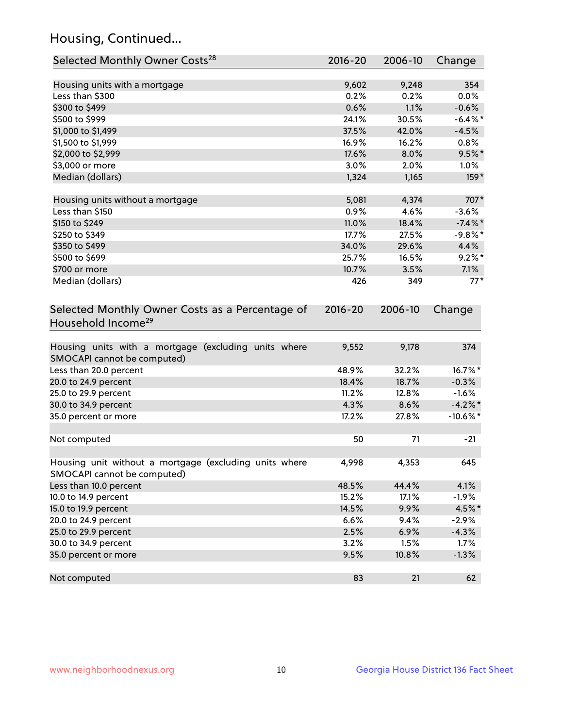## Housing, Continued...

| Selected Monthly Owner Costs <sup>28</sup>                                            | 2016-20     | 2006-10 | Change      |
|---------------------------------------------------------------------------------------|-------------|---------|-------------|
| Housing units with a mortgage                                                         | 9,602       | 9,248   | 354         |
| Less than \$300                                                                       | 0.2%        | 0.2%    | 0.0%        |
| \$300 to \$499                                                                        | 0.6%        | 1.1%    | $-0.6%$     |
| \$500 to \$999                                                                        | 24.1%       | 30.5%   | $-6.4\%$ *  |
| \$1,000 to \$1,499                                                                    | 37.5%       | 42.0%   | $-4.5%$     |
| \$1,500 to \$1,999                                                                    | 16.9%       | 16.2%   | 0.8%        |
| \$2,000 to \$2,999                                                                    | 17.6%       | 8.0%    | $9.5\%$ *   |
| \$3,000 or more                                                                       | 3.0%        | 2.0%    | $1.0\%$     |
| Median (dollars)                                                                      | 1,324       | 1,165   | $159*$      |
| Housing units without a mortgage                                                      | 5,081       | 4,374   | 707*        |
| Less than \$150                                                                       | 0.9%        | 4.6%    | $-3.6%$     |
| \$150 to \$249                                                                        | 11.0%       | 18.4%   | $-7.4\%$ *  |
| \$250 to \$349                                                                        | 17.7%       | 27.5%   | $-9.8%$ *   |
| \$350 to \$499                                                                        | 34.0%       | 29.6%   | 4.4%        |
| \$500 to \$699                                                                        | 25.7%       | 16.5%   | $9.2\%$ *   |
| \$700 or more                                                                         | 10.7%       | 3.5%    | 7.1%        |
| Median (dollars)                                                                      | 426         | 349     | $77*$       |
| Selected Monthly Owner Costs as a Percentage of<br>Household Income <sup>29</sup>     | $2016 - 20$ | 2006-10 | Change      |
| Housing units with a mortgage (excluding units where<br>SMOCAPI cannot be computed)   | 9,552       | 9,178   | 374         |
| Less than 20.0 percent                                                                | 48.9%       | 32.2%   | 16.7%*      |
| 20.0 to 24.9 percent                                                                  | 18.4%       | 18.7%   | $-0.3%$     |
| 25.0 to 29.9 percent                                                                  | 11.2%       | 12.8%   | $-1.6%$     |
| 30.0 to 34.9 percent                                                                  | 4.3%        | 8.6%    | $-4.2\%$ *  |
| 35.0 percent or more                                                                  | 17.2%       | 27.8%   | $-10.6\%$ * |
| Not computed                                                                          | 50          | 71      | $-21$       |
| Housing unit without a mortgage (excluding units where<br>SMOCAPI cannot be computed) | 4,998       | 4,353   | 645         |
| Less than 10.0 percent                                                                | 48.5%       | 44.4%   | 4.1%        |
| 10.0 to 14.9 percent                                                                  | 15.2%       | 17.1%   | $-1.9%$     |
| 15.0 to 19.9 percent                                                                  | 14.5%       | 9.9%    | 4.5%*       |
| 20.0 to 24.9 percent                                                                  | 6.6%        | 9.4%    | $-2.9%$     |
| 25.0 to 29.9 percent                                                                  | 2.5%        | 6.9%    | $-4.3%$     |
| 30.0 to 34.9 percent                                                                  | 3.2%        | 1.5%    | 1.7%        |
| 35.0 percent or more                                                                  | 9.5%        | 10.8%   | $-1.3%$     |
| Not computed                                                                          | 83          | 21      | 62          |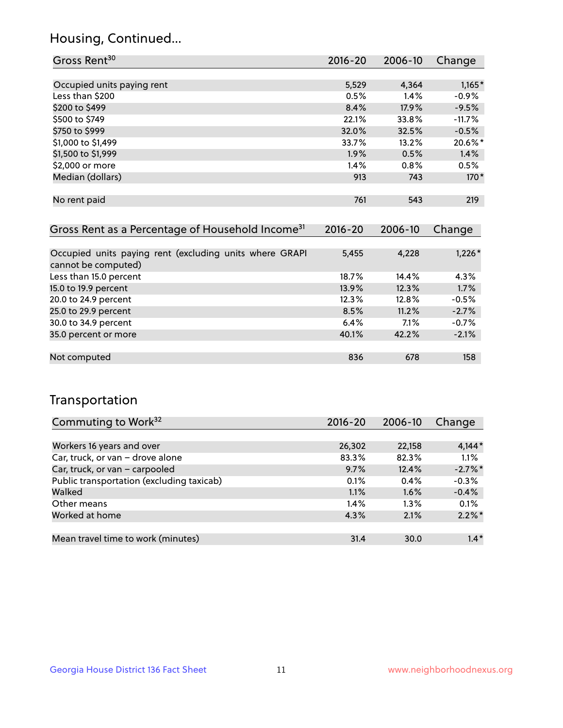## Housing, Continued...

| Gross Rent <sup>30</sup>                                     | 2016-20     | 2006-10 | Change   |
|--------------------------------------------------------------|-------------|---------|----------|
|                                                              |             |         |          |
| Occupied units paying rent                                   | 5,529       | 4,364   | $1,165*$ |
| Less than \$200                                              | 0.5%        | 1.4%    | $-0.9%$  |
| \$200 to \$499                                               | 8.4%        | 17.9%   | $-9.5%$  |
| \$500 to \$749                                               | 22.1%       | 33.8%   | $-11.7%$ |
| \$750 to \$999                                               | 32.0%       | 32.5%   | $-0.5%$  |
| \$1,000 to \$1,499                                           | 33.7%       | 13.2%   | 20.6%*   |
| \$1,500 to \$1,999                                           | 1.9%        | 0.5%    | 1.4%     |
| \$2,000 or more                                              | 1.4%        | 0.8%    | 0.5%     |
| Median (dollars)                                             | 913         | 743     | $170*$   |
|                                                              |             |         |          |
| No rent paid                                                 | 761         | 543     | 219      |
|                                                              |             |         |          |
| Gross Rent as a Percentage of Household Income <sup>31</sup> | $2016 - 20$ | 2006-10 | Change   |

| Occupied units paying rent (excluding units where GRAPI<br>cannot be computed) | 5,455 | 4,228   | $1,226*$ |
|--------------------------------------------------------------------------------|-------|---------|----------|
|                                                                                |       |         |          |
| Less than 15.0 percent                                                         | 18.7% | 14.4%   | 4.3%     |
| 15.0 to 19.9 percent                                                           | 13.9% | 12.3%   | 1.7%     |
| 20.0 to 24.9 percent                                                           | 12.3% | 12.8%   | $-0.5%$  |
| 25.0 to 29.9 percent                                                           | 8.5%  | 11.2%   | $-2.7%$  |
| 30.0 to 34.9 percent                                                           | 6.4%  | $7.1\%$ | $-0.7%$  |
| 35.0 percent or more                                                           | 40.1% | 42.2%   | $-2.1%$  |
|                                                                                |       |         |          |
| Not computed                                                                   | 836   | 678     | 158      |

## Transportation

| Commuting to Work <sup>32</sup>           | 2016-20 | 2006-10 | Change     |
|-------------------------------------------|---------|---------|------------|
|                                           |         |         |            |
| Workers 16 years and over                 | 26,302  | 22,158  | $4,144*$   |
| Car, truck, or van - drove alone          | 83.3%   | 82.3%   | 1.1%       |
| Car, truck, or van - carpooled            | 9.7%    | 12.4%   | $-2.7\%$ * |
| Public transportation (excluding taxicab) | 0.1%    | 0.4%    | $-0.3%$    |
| Walked                                    | 1.1%    | 1.6%    | $-0.4%$    |
| Other means                               | 1.4%    | $1.3\%$ | 0.1%       |
| Worked at home                            | 4.3%    | 2.1%    | $2.2\%$ *  |
|                                           |         |         |            |
| Mean travel time to work (minutes)        | 31.4    | 30.0    | $1.4*$     |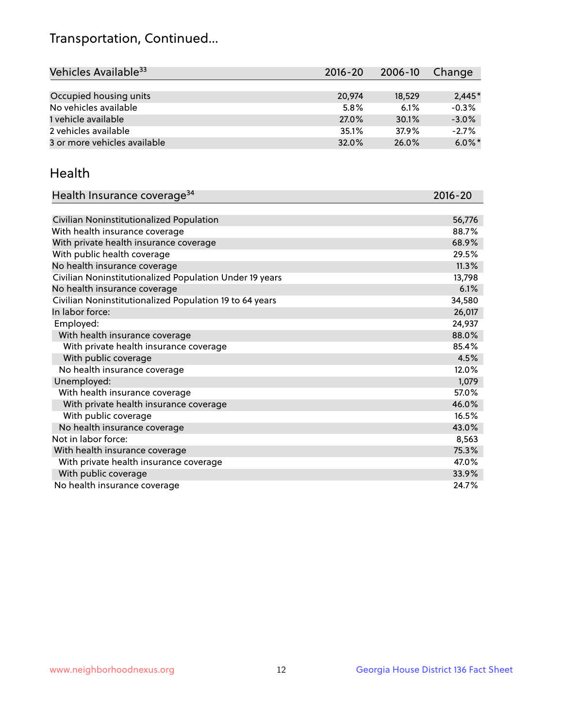## Transportation, Continued...

| Vehicles Available <sup>33</sup> | $2016 - 20$ | $2006 - 10$ | Change    |
|----------------------------------|-------------|-------------|-----------|
|                                  |             |             |           |
| Occupied housing units           | 20,974      | 18,529      | $2.445*$  |
| No vehicles available            | 5.8%        | 6.1%        | $-0.3%$   |
| 1 vehicle available              | 27.0%       | 30.1%       | $-3.0%$   |
| 2 vehicles available             | 35.1%       | 37.9%       | $-2.7%$   |
| 3 or more vehicles available     | 32.0%       | 26.0%       | $6.0\%$ * |

#### Health

| Health Insurance coverage <sup>34</sup>                 | 2016-20 |
|---------------------------------------------------------|---------|
|                                                         |         |
| Civilian Noninstitutionalized Population                | 56,776  |
| With health insurance coverage                          | 88.7%   |
| With private health insurance coverage                  | 68.9%   |
| With public health coverage                             | 29.5%   |
| No health insurance coverage                            | 11.3%   |
| Civilian Noninstitutionalized Population Under 19 years | 13,798  |
| No health insurance coverage                            | 6.1%    |
| Civilian Noninstitutionalized Population 19 to 64 years | 34,580  |
| In labor force:                                         | 26,017  |
| Employed:                                               | 24,937  |
| With health insurance coverage                          | 88.0%   |
| With private health insurance coverage                  | 85.4%   |
| With public coverage                                    | 4.5%    |
| No health insurance coverage                            | 12.0%   |
| Unemployed:                                             | 1,079   |
| With health insurance coverage                          | 57.0%   |
| With private health insurance coverage                  | 46.0%   |
| With public coverage                                    | 16.5%   |
| No health insurance coverage                            | 43.0%   |
| Not in labor force:                                     | 8,563   |
| With health insurance coverage                          | 75.3%   |
| With private health insurance coverage                  | 47.0%   |
| With public coverage                                    | 33.9%   |
| No health insurance coverage                            | 24.7%   |